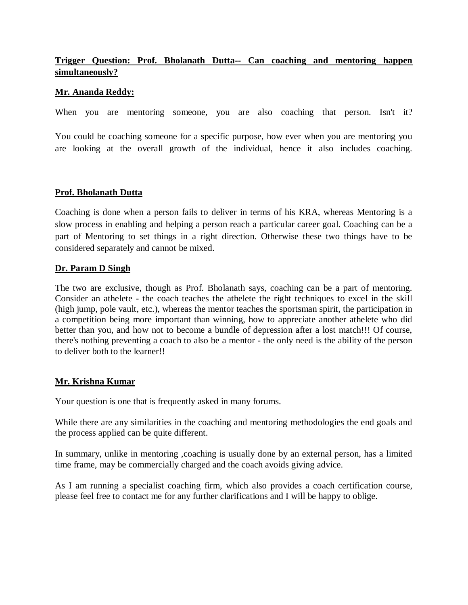# **Trigger Question: Prof. Bholanath Dutta-- Can coaching and mentoring happen simultaneously?**

## **Mr. Ananda Reddy:**

When you are mentoring someone, you are also coaching that person. Isn't it?

You could be coaching someone for a specific purpose, how ever when you are mentoring you are looking at the overall growth of the individual, hence it also includes coaching.

## **Prof. Bholanath Dutta**

Coaching is done when a person fails to deliver in terms of his KRA, whereas Mentoring is a slow process in enabling and helping a person reach a particular career goal. Coaching can be a part of Mentoring to set things in a right direction. Otherwise these two things have to be considered separately and cannot be mixed.

## **Dr. Param D Singh**

The two are exclusive, though as Prof. Bholanath says, coaching can be a part of mentoring. Consider an athelete - the coach teaches the athelete the right techniques to excel in the skill (high jump, pole vault, etc.), whereas the mentor teaches the sportsman spirit, the participation in a competition being more important than winning, how to appreciate another athelete who did better than you, and how not to become a bundle of depression after a lost match!!! Of course, there's nothing preventing a coach to also be a mentor - the only need is the ability of the person to deliver both to the learner!!

### **Mr. Krishna Kumar**

Your question is one that is frequently asked in many forums.

While there are any similarities in the coaching and mentoring methodologies the end goals and the process applied can be quite different.

In summary, unlike in mentoring ,coaching is usually done by an external person, has a limited time frame, may be commercially charged and the coach avoids giving advice.

As I am running a specialist coaching firm, which also provides a coach certification course, please feel free to contact me for any further clarifications and I will be happy to oblige.